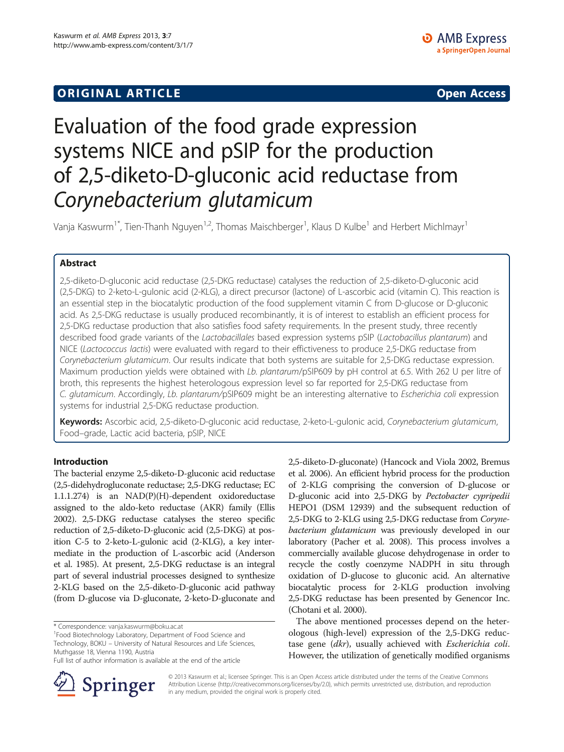# **ORIGINAL ARTICLE CONSERVANCE IN A LOCAL CONSERVANCE IN A LOCAL CONSERVANCE IN A LOCAL CONSERVANCE IN A LOCAL CONSERVANCE IN A LOCAL CONSERVANCE IN A LOCAL CONSERVANCE IN A LOCAL CONSERVANCE IN A LOCAL CONSERVANCE IN A L**

# Evaluation of the food grade expression systems NICE and pSIP for the production of 2,5-diketo-D-gluconic acid reductase from

Vanja Kaswurm<sup>1\*</sup>, Tien-Thanh Nguyen<sup>1,2</sup>, Thomas Maischberger<sup>1</sup>, Klaus D Kulbe<sup>1</sup> and Herbert Michlmayr<sup>1</sup>

# Abstract

2,5-diketo-D-gluconic acid reductase (2,5-DKG reductase) catalyses the reduction of 2,5-diketo-D-gluconic acid (2,5-DKG) to 2-keto-L-gulonic acid (2-KLG), a direct precursor (lactone) of L-ascorbic acid (vitamin C). This reaction is an essential step in the biocatalytic production of the food supplement vitamin C from D-glucose or D-gluconic acid. As 2,5-DKG reductase is usually produced recombinantly, it is of interest to establish an efficient process for 2,5-DKG reductase production that also satisfies food safety requirements. In the present study, three recently described food grade variants of the Lactobacillales based expression systems pSIP (Lactobacillus plantarum) and NICE (Lactococcus lactis) were evaluated with regard to their effictiveness to produce 2,5-DKG reductase from Corynebacterium glutamicum. Our results indicate that both systems are suitable for 2,5-DKG reductase expression. Maximum production yields were obtained with Lb. plantarum/pSIP609 by pH control at 6.5. With 262 U per litre of broth, this represents the highest heterologous expression level so far reported for 2,5-DKG reductase from C. glutamicum. Accordingly, Lb. plantarum/pSIP609 might be an interesting alternative to Escherichia coli expression systems for industrial 2,5-DKG reductase production.

Keywords: Ascorbic acid, 2,5-diketo-D-gluconic acid reductase, 2-keto-L-gulonic acid, Corynebacterium glutamicum, Food–grade, Lactic acid bacteria, pSIP, NICE

# Introduction

The bacterial enzyme 2,5-diketo-D-gluconic acid reductase (2,5-didehydrogluconate reductase; 2,5-DKG reductase; EC 1.1.1.274) is an NAD(P)(H)-dependent oxidoreductase assigned to the aldo-keto reductase (AKR) family (Ellis [2002\)](#page-9-0). 2,5-DKG reductase catalyses the stereo specific reduction of 2,5-diketo-D-gluconic acid (2,5-DKG) at position C-5 to 2-keto-L-gulonic acid (2-KLG), a key intermediate in the production of L-ascorbic acid (Anderson et al. [1985](#page-9-0)). At present, 2,5-DKG reductase is an integral part of several industrial processes designed to synthesize 2-KLG based on the 2,5-diketo-D-gluconic acid pathway (from D-glucose via D-gluconate, 2-keto-D-gluconate and

\* Correspondence: [vanja.kaswurm@boku.ac.at](mailto:vanja.kaswurm@boku.ac.at) <sup>1</sup>

Food Biotechnology Laboratory, Department of Food Science and Technology, BOKU – University of Natural Resources and Life Sciences, Muthgasse 18, Vienna 1190, Austria



The above mentioned processes depend on the heterologous (high-level) expression of the 2,5-DKG reductase gene (dkr), usually achieved with Escherichia coli. However, the utilization of genetically modified organisms



© 2013 Kaswurm et al.; licensee Springer. This is an Open Access article distributed under the terms of the Creative Commons Attribution License [\(http://creativecommons.org/licenses/by/2.0\)](http://creativecommons.org/licenses/by/2.0), which permits unrestricted use, distribution, and reproduction in any medium, provided the original work is properly cited.

Full list of author information is available at the end of the article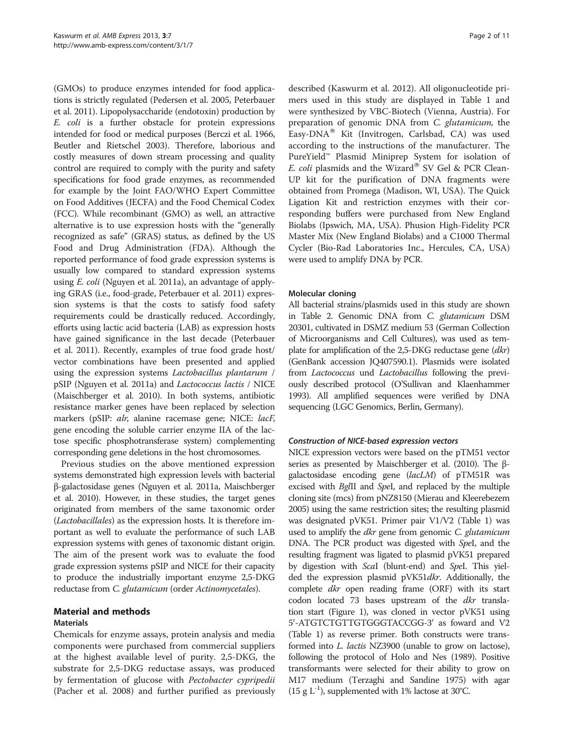(GMOs) to produce enzymes intended for food applications is strictly regulated (Pedersen et al. [2005](#page-10-0), Peterbauer et al. [2011\)](#page-10-0). Lipopolysaccharide (endotoxin) production by E. coli is a further obstacle for protein expressions intended for food or medical purposes (Berczi et al. [1966](#page-9-0), Beutler and Rietschel [2003\)](#page-9-0). Therefore, laborious and costly measures of down stream processing and quality control are required to comply with the purity and safety specifications for food grade enzymes, as recommended for example by the Joint FAO/WHO Expert Committee on Food Additives (JECFA) and the Food Chemical Codex (FCC). While recombinant (GMO) as well, an attractive alternative is to use expression hosts with the "generally recognized as safe" (GRAS) status, as defined by the US Food and Drug Administration (FDA). Although the reported performance of food grade expression systems is usually low compared to standard expression systems using E. coli (Nguyen et al. [2011a](#page-10-0)), an advantage of applying GRAS (i.e., food-grade, Peterbauer et al. [2011](#page-10-0)) expression systems is that the costs to satisfy food safety requirements could be drastically reduced. Accordingly, efforts using lactic acid bacteria (LAB) as expression hosts have gained significance in the last decade (Peterbauer et al. [2011](#page-10-0)). Recently, examples of true food grade host/ vector combinations have been presented and applied using the expression systems Lactobacillus plantarum / pSIP (Nguyen et al. [2011a](#page-10-0)) and Lactococcus lactis / NICE (Maischberger et al. [2010](#page-10-0)). In both systems, antibiotic resistance marker genes have been replaced by selection markers (pSIP: alr, alanine racemase gene; NICE: lacF, gene encoding the soluble carrier enzyme IIA of the lactose specific phosphotransferase system) complementing corresponding gene deletions in the host chromosomes.

Previous studies on the above mentioned expression systems demonstrated high expression levels with bacterial β-galactosidase genes (Nguyen et al. [2011a,](#page-10-0) Maischberger et al. [2010](#page-10-0)). However, in these studies, the target genes originated from members of the same taxonomic order (Lactobacillales) as the expression hosts. It is therefore important as well to evaluate the performance of such LAB expression systems with genes of taxonomic distant origin. The aim of the present work was to evaluate the food grade expression systems pSIP and NICE for their capacity to produce the industrially important enzyme 2,5-DKG reductase from C. glutamicum (order Actinomycetales).

# Material and methods

## Materials

Chemicals for enzyme assays, protein analysis and media components were purchased from commercial suppliers at the highest available level of purity. 2,5-DKG, the substrate for 2,5-DKG reductase assays, was produced by fermentation of glucose with Pectobacter cypripedii (Pacher et al. [2008](#page-10-0)) and further purified as previously

described (Kaswurm et al. [2012](#page-10-0)). All oligonucleotide primers used in this study are displayed in Table [1](#page-2-0) and were synthesized by VBC-Biotech (Vienna, Austria). For preparation of genomic DNA from C. glutamicum, the Easy-DNA® Kit (Invitrogen, Carlsbad, CA) was used according to the instructions of the manufacturer. The PureYield™ Plasmid Miniprep System for isolation of E. coli plasmids and the Wizard<sup>®</sup> SV Gel & PCR Clean-UP kit for the purification of DNA fragments were obtained from Promega (Madison, WI, USA). The Quick Ligation Kit and restriction enzymes with their corresponding buffers were purchased from New England Biolabs (Ipswich, MA, USA). Phusion High-Fidelity PCR Master Mix (New England Biolabs) and a C1000 Thermal Cycler (Bio-Rad Laboratories Inc., Hercules, CA, USA) were used to amplify DNA by PCR.

## Molecular cloning

All bacterial strains/plasmids used in this study are shown in Table [2.](#page-2-0) Genomic DNA from C. glutamicum DSM 20301, cultivated in DSMZ medium 53 (German Collection of Microorganisms and Cell Cultures), was used as template for amplification of the 2,5-DKG reductase gene (dkr) (GenBank accession JQ407590.1). Plasmids were isolated from Lactococcus und Lactobacillus following the previously described protocol (O'Sullivan and Klaenhammer [1993\)](#page-10-0). All amplified sequences were verified by DNA sequencing (LGC Genomics, Berlin, Germany).

### Construction of NICE-based expression vectors

NICE expression vectors were based on the pTM51 vector series as presented by Maischberger et al. [\(2010](#page-10-0)). The βgalactosidase encoding gene (lacLM) of pTM51R was excised with *BglII* and *SpeI*, and replaced by the multiple cloning site (mcs) from pNZ8150 (Mierau and Kleerebezem [2005\)](#page-10-0) using the same restriction sites; the resulting plasmid was designated pVK51. Primer pair V1/V2 (Table [1\)](#page-2-0) was used to amplify the *dkr* gene from genomic *C. glutamicum* DNA. The PCR product was digested with SpeI, and the resulting fragment was ligated to plasmid pVK51 prepared by digestion with ScaI (blunt-end) and SpeI. This yielded the expression plasmid pVK51dkr. Additionally, the complete dkr open reading frame (ORF) with its start codon located 73 bases upstream of the *dkr* translation start (Figure [1](#page-3-0)), was cloned in vector pVK51 using 5'-ATGTCTGTTGTGGGTACCGG-3' as foward and V2 (Table [1](#page-2-0)) as reverse primer. Both constructs were transformed into L. lactis NZ3900 (unable to grow on lactose), following the protocol of Holo and Nes ([1989\)](#page-10-0). Positive transformants were selected for their ability to grow on M17 medium (Terzaghi and Sandine [1975](#page-10-0)) with agar  $(15 \text{ g L}^{-1})$ , supplemented with 1% lactose at 30°C.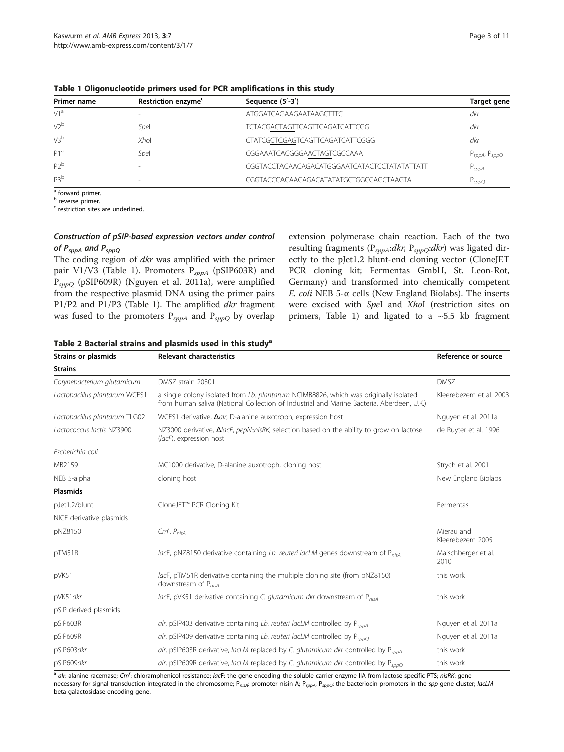| Primer name     | Restriction enzyme <sup>c</sup> | Sequence (5'-3')                             | Target gene             |  |
|-----------------|---------------------------------|----------------------------------------------|-------------------------|--|
| VI <sup>a</sup> | $\sim$                          | ATGGATCAGAAGAATAAGCTTTC                      | dkr                     |  |
| $V2^b$          | Spel                            | <b>TCTACGACTAGTTCAGTTCAGATCATTCGG</b>        | dkr                     |  |
| $V3^b$          | Xhol                            | <b>CTATCGCTCGAGTCAGTTCAGATCATTCGGG</b>       | dkr                     |  |
| P1 <sup>a</sup> | Spel                            | CGGAAATCACGGGAACTAGTCGCCAAA                  | $P_{sppA}$ , $P_{sppQ}$ |  |
| $P2^b$          | $\sim$                          | CGGTACCTACAACAGACATGGGAATCATACTCCTATATATTATT | $P_{sppA}$              |  |
| P3 <sup>b</sup> | $\sim$                          | CGGTACCCACAACAGACATATATGCTGGCCAGCTAAGTA      | $P_{sppQ}$              |  |

<span id="page-2-0"></span>Table 1 Oligonucleotide primers used for PCR amplifications in this study

<sup>a</sup> forward primer.

<sup>b</sup> reverse primer.

 $c$  restriction sites are underlined.

# Construction of pSIP-based expression vectors under control of P<sub>sppA</sub> and P<sub>sppQ</sub>

The coding region of *dkr* was amplified with the primer pair V1/V3 (Table 1). Promoters  $P_{sppA}$  (pSIP603R) and  $P_{sppO}$  (pSIP609R) (Nguyen et al. [2011a\)](#page-10-0), were amplified from the respective plasmid DNA using the primer pairs P1/P2 and P1/P3 (Table 1). The amplified dkr fragment was fused to the promoters  $P_{\text{sppA}}$  and  $P_{\text{sppQ}}$  by overlap

extension polymerase chain reaction. Each of the two resulting fragments ( $P_{sppA}:dkr, P_{sppQ}:dkr$ ) was ligated directly to the pJet1.2 blunt-end cloning vector (CloneJET PCR cloning kit; Fermentas GmbH, St. Leon-Rot, Germany) and transformed into chemically competent E. coli NEB 5-α cells (New England Biolabs). The inserts were excised with SpeI and XhoI (restriction sites on primers, Table 1) and ligated to a  $\sim$  5.5 kb fragment

Table 2 Bacterial strains and plasmids used in this study<sup>a</sup>

| Strains or plasmids                                                                                              | <b>Relevant characteristics</b>                                                                                                                                                   | Reference or source            |  |
|------------------------------------------------------------------------------------------------------------------|-----------------------------------------------------------------------------------------------------------------------------------------------------------------------------------|--------------------------------|--|
| <b>Strains</b>                                                                                                   |                                                                                                                                                                                   |                                |  |
| Corynebacterium glutamicum                                                                                       | DMSZ strain 20301                                                                                                                                                                 | <b>DMSZ</b>                    |  |
| Lactobacillus plantarum WCFS1                                                                                    | a single colony isolated from Lb. plantarum NCIMB8826, which was originally isolated<br>from human saliva (National Collection of Industrial and Marine Bacteria, Aberdeen, U.K.) | Kleerebezem et al. 2003        |  |
| Lactobacillus plantarum TLG02                                                                                    | WCFS1 derivative, $\Delta$ alr, D-alanine auxotroph, expression host                                                                                                              | Nguyen et al. 2011a            |  |
| Lactococcus lactis NZ3900                                                                                        | NZ3000 derivative, $\Delta$ lacF, pepN::nisRK, selection based on the ability to grow on lactose<br>(lacF), expression host                                                       | de Ruyter et al. 1996          |  |
| Escherichia coli                                                                                                 |                                                                                                                                                                                   |                                |  |
| MB2159                                                                                                           | MC1000 derivative, D-alanine auxotroph, cloning host                                                                                                                              | Strych et al. 2001             |  |
| NEB 5-alpha                                                                                                      | cloning host                                                                                                                                                                      | New England Biolabs            |  |
| <b>Plasmids</b>                                                                                                  |                                                                                                                                                                                   |                                |  |
| pJet1.2/blunt                                                                                                    | CloneJET™ PCR Cloning Kit                                                                                                                                                         | Fermentas                      |  |
| NICE derivative plasmids                                                                                         |                                                                                                                                                                                   |                                |  |
| pNZ8150                                                                                                          | $Cm^r$ , $P_{nisA}$                                                                                                                                                               | Mierau and<br>Kleerebezem 2005 |  |
| pTM51R                                                                                                           | lacF, pNZ8150 derivative containing Lb. reuteri lacLM genes downstream of $P_{nisA}$                                                                                              | Maischberger et al.<br>2010    |  |
| lacF, pTM51R derivative containing the multiple cloning site (from pNZ8150)<br>pVK51<br>downstream of $P_{nisA}$ |                                                                                                                                                                                   | this work                      |  |
| pVK51dkr                                                                                                         | lacF, pVK51 derivative containing C. glutamicum dkr downstream of $P_{n,k}$                                                                                                       | this work                      |  |
| pSIP derived plasmids                                                                                            |                                                                                                                                                                                   |                                |  |
| pSIP603R                                                                                                         | alr, pSIP403 derivative containing Lb. reuteri lacLM controlled by P <sub>sppA</sub>                                                                                              | Nguyen et al. 2011a            |  |
| pSIP609R                                                                                                         | alr, pSIP409 derivative containing Lb. reuteri lacLM controlled by P <sub>sppO</sub>                                                                                              | Nguyen et al. 2011a            |  |
| pSIP603dkr                                                                                                       | alr, pSIP603R derivative, lacLM replaced by C. glutamicum dkr controlled by $P_{\text{spaA}}$                                                                                     | this work                      |  |
| pSIP609dkr                                                                                                       | alr, pSIP609R derivative, lacLM replaced by C. glutamicum dkr controlled by $P_{\text{spo}}$                                                                                      | this work                      |  |

a *alr*: alanine racemase; Cm': chloramphenicol resistance; lacF: the gene encoding the soluble carrier enzyme IIA from lactose specific PTS; nisRK: gene<br>necessary for signal transduction integrated in the chromosome: P. . necessary for signal transduction integrated in the chromosome;  $P_{nisA}$ : promoter nisin A;  $P_{spoA}$ ,  $P_{spoA}$ : the bacteriocin promoters in the spp gene cluster; lacLM beta-galactosidase encoding gene.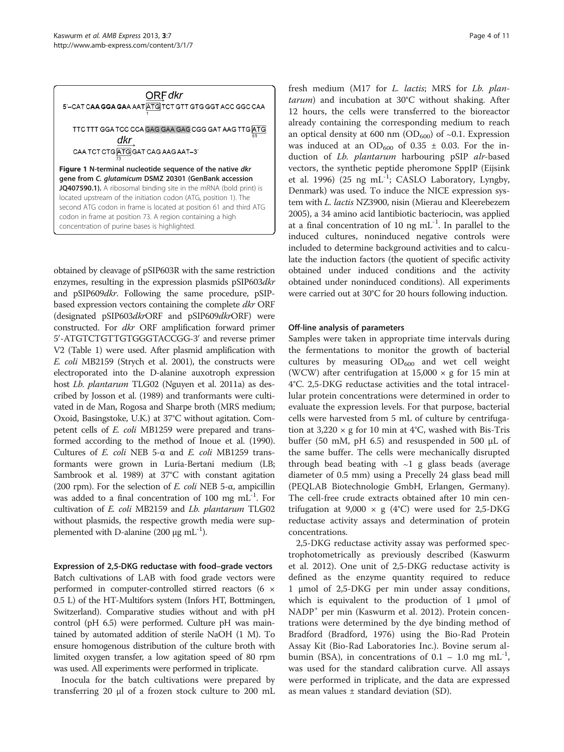<span id="page-3-0"></span>

| ORF <sub>dkr</sub><br>5'-CAT CAA GGA GAA AAT ATG TCT GTT GTG GGT ACC GGC CAA              |  |  |  |  |  |
|-------------------------------------------------------------------------------------------|--|--|--|--|--|
| TTC TTT GGA TCC CCA GAG GAA GAG CGG GAT AAG TTG ATG                                       |  |  |  |  |  |
|                                                                                           |  |  |  |  |  |
| $\frac{dkr}{\sqrt{2\pi}}$ CAA TCT CTG $\frac{\overline{R}}{2\sqrt{2}}$ GAT CAG AAG AAT-3' |  |  |  |  |  |
|                                                                                           |  |  |  |  |  |
| Figure 1 N-terminal nucleotide sequence of the native dkr                                 |  |  |  |  |  |
| gene from C. glutamicum DSMZ 20301 (GenBank accession                                     |  |  |  |  |  |
| JQ407590.1). A ribosomal binding site in the mRNA (bold print) is                         |  |  |  |  |  |
| located upstream of the initiation codon (ATG, position 1). The                           |  |  |  |  |  |
| second ATG codon in frame is located at position 61 and third ATG                         |  |  |  |  |  |
| codon in frame at position 73. A region containing a high                                 |  |  |  |  |  |
| concentration of purine bases is highlighted.                                             |  |  |  |  |  |

obtained by cleavage of pSIP603R with the same restriction enzymes, resulting in the expression plasmids pSIP603dkr and pSIP609dkr. Following the same procedure, pSIPbased expression vectors containing the complete dkr ORF (designated pSIP603dkrORF and pSIP609dkrORF) were constructed. For dkr ORF amplification forward primer 5'-ATGTCTGTTGTGGGTACCGG-3' and reverse primer V2 (Table [1](#page-2-0)) were used. After plasmid amplification with E. coli MB2159 (Strych et al. [2001](#page-10-0)), the constructs were electroporated into the D-alanine auxotroph expression host Lb. plantarum TLG02 (Nguyen et al. [2011a](#page-10-0)) as described by Josson et al. [\(1989](#page-10-0)) and tranformants were cultivated in de Man, Rogosa and Sharpe broth (MRS medium; Oxoid, Basingstoke, U.K.) at 37°C without agitation. Competent cells of E. coli MB1259 were prepared and transformed according to the method of Inoue et al. [\(1990](#page-10-0)). Cultures of E. coli NEB 5- $\alpha$  and E. coli MB1259 transformants were grown in Luria-Bertani medium (LB; Sambrook et al. [1989\)](#page-10-0) at 37°C with constant agitation (200 rpm). For the selection of E. coli NEB 5- $\alpha$ , ampicillin was added to a final concentration of 100 mg  $mL^{-1}$ . For cultivation of E. coli MB2159 and Lb. plantarum TLG02 without plasmids, the respective growth media were supplemented with D-alanine (200 μg mL<sup>-1</sup>).

Expression of 2,5-DKG reductase with food–grade vectors Batch cultivations of LAB with food grade vectors were performed in computer-controlled stirred reactors (6 × 0.5 L) of the HT-Multifors system (Infors HT, Bottmingen, Switzerland). Comparative studies without and with pH control (pH 6.5) were performed. Culture pH was maintained by automated addition of sterile NaOH (1 M). To ensure homogenous distribution of the culture broth with limited oxygen transfer, a low agitation speed of 80 rpm was used. All experiments were performed in triplicate.

Inocula for the batch cultivations were prepared by transferring 20 μl of a frozen stock culture to 200 mL fresh medium (M17 for L. lactis; MRS for Lb. plantarum) and incubation at 30°C without shaking. After 12 hours, the cells were transferred to the bioreactor already containing the corresponding medium to reach an optical density at 600 nm (OD<sub>600</sub>) of ~0.1. Expression was induced at an OD<sub>600</sub> of 0.35  $\pm$  0.03. For the induction of Lb. plantarum harbouring pSIP alr-based vectors, the synthetic peptide pheromone SppIP (Eijsink et al. [1996\)](#page-9-0) (25 ng  $mL^{-1}$ ; CASLO Laboratory, Lyngby, Denmark) was used. To induce the NICE expression system with L. lactis NZ3900, nisin (Mierau and Kleerebezem [2005\)](#page-10-0), a 34 amino acid lantibiotic bacteriocin, was applied at a final concentration of 10 ng  $mL^{-1}$ . In parallel to the induced cultures, noninduced negative controls were included to determine background activities and to calculate the induction factors (the quotient of specific activity obtained under induced conditions and the activity obtained under noninduced conditions). All experiments were carried out at 30°C for 20 hours following induction.

## Off-line analysis of parameters

Samples were taken in appropriate time intervals during the fermentations to monitor the growth of bacterial cultures by measuring  $OD_{600}$  and wet cell weight (WCW) after centrifugation at  $15,000 \times g$  for 15 min at 4°C. 2,5-DKG reductase activities and the total intracellular protein concentrations were determined in order to evaluate the expression levels. For that purpose, bacterial cells were harvested from 5 mL of culture by centrifugation at  $3,220 \times g$  for 10 min at 4°C, washed with Bis-Tris buffer (50 mM, pH 6.5) and resuspended in 500 μL of the same buffer. The cells were mechanically disrupted through bead beating with ∼1 g glass beads (average diameter of 0.5 mm) using a Precelly 24 glass bead mill (PEQLAB Biotechnologie GmbH, Erlangen, Germany). The cell-free crude extracts obtained after 10 min centrifugation at 9,000  $\times$  g (4°C) were used for 2,5-DKG reductase activity assays and determination of protein concentrations.

2,5-DKG reductase activity assay was performed spectrophotometrically as previously described (Kaswurm et al. [2012\)](#page-10-0). One unit of 2,5-DKG reductase activity is defined as the enzyme quantity required to reduce 1 μmol of 2,5-DKG per min under assay conditions, which is equivalent to the production of 1 μmol of NADP+ per min (Kaswurm et al. [2012\)](#page-10-0). Protein concentrations were determined by the dye binding method of Bradford (Bradford, [1976\)](#page-9-0) using the Bio-Rad Protein Assay Kit (Bio-Rad Laboratories Inc.). Bovine serum albumin (BSA), in concentrations of  $0.1 - 1.0$  mg mL<sup>-1</sup>, was used for the standard calibration curve. All assays were performed in triplicate, and the data are expressed as mean values  $\pm$  standard deviation (SD).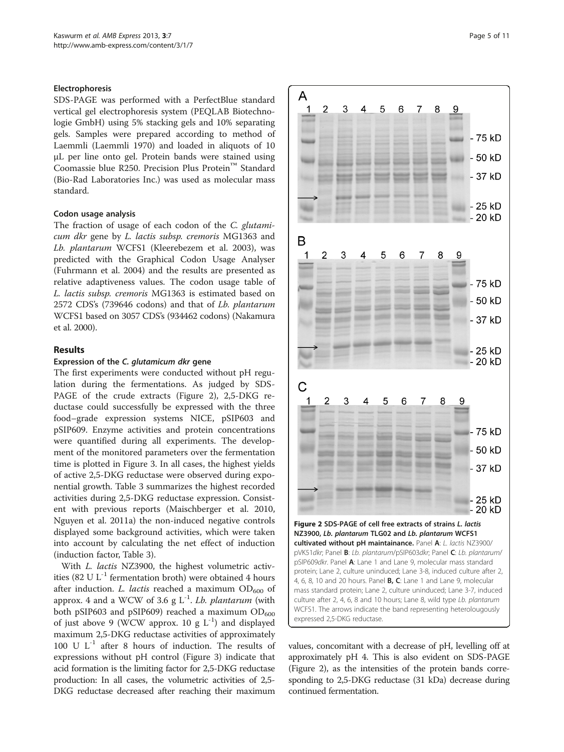#### Electrophoresis

SDS-PAGE was performed with a PerfectBlue standard vertical gel electrophoresis system (PEQLAB Biotechnologie GmbH) using 5% stacking gels and 10% separating gels. Samples were prepared according to method of Laemmli (Laemmli [1970](#page-10-0)) and loaded in aliquots of 10 μL per line onto gel. Protein bands were stained using Coomassie blue R250. Precision Plus Protein™ Standard (Bio-Rad Laboratories Inc.) was used as molecular mass standard.

### Codon usage analysis

The fraction of usage of each codon of the C. glutamicum dkr gene by L. lactis subsp. cremoris MG1363 and Lb. plantarum WCFS1 (Kleerebezem et al. [2003](#page-10-0)), was predicted with the Graphical Codon Usage Analyser (Fuhrmann et al. [2004](#page-9-0)) and the results are presented as relative adaptiveness values. The codon usage table of L. lactis subsp. cremoris MG1363 is estimated based on 2572 CDS's (739646 codons) and that of Lb. plantarum WCFS1 based on 3057 CDS's (934462 codons) (Nakamura et al. [2000](#page-10-0)).

## Results

## Expression of the C. glutamicum dkr gene

The first experiments were conducted without pH regulation during the fermentations. As judged by SDS-PAGE of the crude extracts (Figure 2), 2,5-DKG reductase could successfully be expressed with the three food–grade expression systems NICE, pSIP603 and pSIP609. Enzyme activities and protein concentrations were quantified during all experiments. The development of the monitored parameters over the fermentation time is plotted in Figure [3.](#page-5-0) In all cases, the highest yields of active 2,5-DKG reductase were observed during exponential growth. Table [3](#page-6-0) summarizes the highest recorded activities during 2,5-DKG reductase expression. Consistent with previous reports (Maischberger et al. [2010](#page-10-0), Nguyen et al. [2011a](#page-10-0)) the non-induced negative controls displayed some background activities, which were taken into account by calculating the net effect of induction (induction factor, Table [3](#page-6-0)).

With *L. lactis* NZ3900, the highest volumetric activities (82 U  $L^{-1}$  fermentation broth) were obtained 4 hours after induction. L. lactis reached a maximum  $OD_{600}$  of approx. 4 and a WCW of 3.6 g  $L^{-1}$ . *Lb. plantarum* (with both pSIP603 and pSIP609) reached a maximum  $OD_{600}$ of just above 9 (WCW approx. 10 g  $L^{-1}$ ) and displayed maximum 2,5-DKG reductase activities of approximately  $100$  U L<sup>-1</sup> after 8 hours of induction. The results of expressions without pH control (Figure [3](#page-5-0)) indicate that acid formation is the limiting factor for 2,5-DKG reductase production: In all cases, the volumetric activities of 2,5- DKG reductase decreased after reaching their maximum



values, concomitant with a decrease of pH, levelling off at approximately pH 4. This is also evident on SDS-PAGE (Figure 2), as the intensities of the protein bands corresponding to 2,5-DKG reductase (31 kDa) decrease during continued fermentation.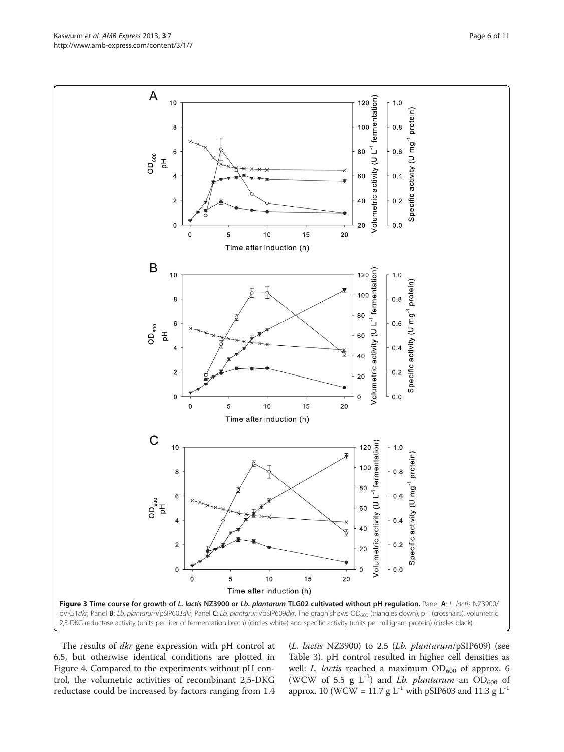The results of dkr gene expression with pH control at 6.5, but otherwise identical conditions are plotted in Figure [4](#page-7-0). Compared to the experiments without pH control, the volumetric activities of recombinant 2,5-DKG reductase could be increased by factors ranging from 1.4 (L. lactis NZ3900) to 2.5 (Lb. plantarum/pSIP609) (see Table [3\)](#page-6-0). pH control resulted in higher cell densities as well: L. lactis reached a maximum  $OD_{600}$  of approx. 6 (WCW of 5.5 g  $L^{-1}$ ) and *Lb. plantarum* an OD<sub>600</sub> of approx. 10 (WCW = 11.7 g  $L^{-1}$  with pSIP603 and 11.3 g  $L^{-1}$ 



<span id="page-5-0"></span>Kaswurm *et al. AMB Express* 2013, **3:**7 Page 6 of 11 Architecture 2014 of 2014 and 2014 and 2014 and 2014 and 201<br>http://www.amb-express.com/content/3/1/7 Page 8 of 21 Architecture 2014 and 2014 and 2014 and 2014 and 2014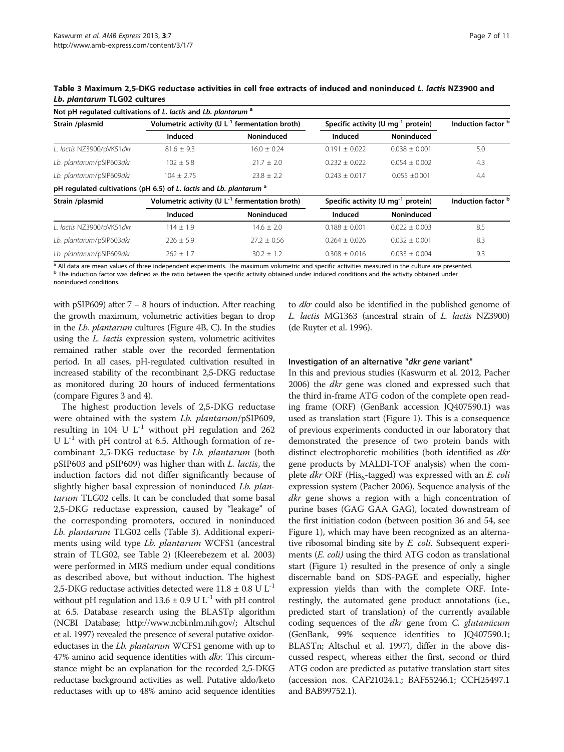| Not pH regulated cultivations of L. lactis and Lb. plantarum <sup>a</sup> |                                                            |                 |                                                |                   |                    |  |  |  |  |
|---------------------------------------------------------------------------|------------------------------------------------------------|-----------------|------------------------------------------------|-------------------|--------------------|--|--|--|--|
| Strain /plasmid                                                           | Volumetric activity ( $U L^{-1}$ fermentation broth)       |                 | Specific activity (U mg <sup>-1</sup> protein) |                   | Induction factor b |  |  |  |  |
|                                                                           | Induced                                                    | Noninduced      | Induced                                        | Noninduced        |                    |  |  |  |  |
| L. lactis NZ3900/pVK51dkr                                                 | $81.6 \pm 9.3$                                             | $16.0 \pm 0.24$ | $0.191 \pm 0.022$                              | $0.038 + 0.001$   | 5.0                |  |  |  |  |
| Lb. plantarum/pSIP603dkr                                                  | $102 + 5.8$                                                | $21.7 + 2.0$    | $0.232 + 0.022$                                | $0.054 + 0.002$   | 4.3                |  |  |  |  |
| Lb. plantarum/pSIP609dkr                                                  | $104 \pm 2.75$                                             | $23.8 + 2.2$    | $0.243 + 0.017$                                | $0.055 + 0.001$   | 4.4                |  |  |  |  |
| pH regulated cultivations (pH 6.5) of L. lactis and Lb. plantarum $a$     |                                                            |                 |                                                |                   |                    |  |  |  |  |
| Strain /plasmid                                                           | Volumetric activity (U L <sup>-1</sup> fermentation broth) |                 | Specific activity (U $mq^{-1}$ protein)        |                   | Induction factor b |  |  |  |  |
|                                                                           | Induced                                                    | Noninduced      | Induced                                        | Noninduced        |                    |  |  |  |  |
| L. lactis NZ3900/pVK51dkr                                                 | $114 + 19$                                                 | $14.6 + 2.0$    | $0.188 + 0.001$                                | $0.022 + 0.003$   | 8.5                |  |  |  |  |
| Lb. plantarum/pSIP603dkr                                                  | $226 \pm 5.9$                                              | $27.2 + 0.56$   | $0.264 + 0.026$                                | $0.032 \pm 0.001$ | 8.3                |  |  |  |  |
| Lb. plantarum/pSIP609dkr                                                  | $262 \pm 1.7$                                              | $30.2 \pm 1.2$  | $0.308 + 0.016$                                | $0.033 + 0.004$   | 9.3                |  |  |  |  |

<span id="page-6-0"></span>Table 3 Maximum 2,5-DKG reductase activities in cell free extracts of induced and noninduced L. lactis NZ3900 and Lb. plantarum TLG02 cultures

<sup>a</sup> All data are mean values of three independent experiments. The maximum volumetric and specific activities measured in the culture are presented. b The induction factor was defined as the ratio between the specific activity obtained under induced conditions and the activity obtained under noninduced conditions.

with pSIP609) after 7 – 8 hours of induction. After reaching the growth maximum, volumetric activities began to drop in the Lb. plantarum cultures (Figure [4B](#page-7-0), C). In the studies using the L. lactis expression system, volumetric acitivites remained rather stable over the recorded fermentation period. In all cases, pH-regulated cultivation resulted in increased stability of the recombinant 2,5-DKG reductase as monitored during 20 hours of induced fermentations (compare Figures [3](#page-5-0) and [4](#page-7-0)).

The highest production levels of 2,5-DKG reductase were obtained with the system *Lb. plantarum*/pSIP609, resulting in 104 U  $L^{-1}$  without pH regulation and 262 U  $L^{-1}$  with pH control at 6.5. Although formation of recombinant 2,5-DKG reductase by Lb. plantarum (both pSIP603 and pSIP609) was higher than with L. lactis, the induction factors did not differ significantly because of slightly higher basal expression of noninduced *Lb. plan*tarum TLG02 cells. It can be concluded that some basal 2,5-DKG reductase expression, caused by "leakage" of the corresponding promoters, occured in noninduced Lb. plantarum TLG02 cells (Table 3). Additional experiments using wild type *Lb. plantarum* WCFS1 (ancestral strain of TLG02, see Table [2](#page-2-0)) (Kleerebezem et al. [2003](#page-10-0)) were performed in MRS medium under equal conditions as described above, but without induction. The highest 2,5-DKG reductase activities detected were  $11.8 \pm 0.8$  U L<sup>-1</sup> without pH regulation and  $13.6 \pm 0.9 \text{ U L}^{-1}$  with pH control at 6.5. Database research using the BLASTp algorithm (NCBI Database; [http://www.ncbi.nlm.nih.gov/;](http://www.ncbi.nlm.nih.gov/) Altschul et al. [1997\)](#page-9-0) revealed the presence of several putative oxidoreductases in the *Lb. plantarum* WCFS1 genome with up to 47% amino acid sequence identities with dkr. This circumstance might be an explanation for the recorded 2,5-DKG reductase background activities as well. Putative aldo/keto reductases with up to 48% amino acid sequence identities

to dkr could also be identified in the published genome of L. lactis MG1363 (ancestral strain of L. lactis NZ3900) (de Ruyter et al. [1996\)](#page-9-0).

### Investigation of an alternative "dkr gene variant"

In this and previous studies (Kaswurm et al. [2012](#page-10-0), Pacher [2006](#page-10-0)) the dkr gene was cloned and expressed such that the third in-frame ATG codon of the complete open reading frame (ORF) (GenBank accession JQ407590.1) was used as translation start (Figure [1\)](#page-3-0). This is a consequence of previous experiments conducted in our laboratory that demonstrated the presence of two protein bands with distinct electrophoretic mobilities (both identified as dkr gene products by MALDI-TOF analysis) when the complete  $dkr$  ORF (His<sub>6</sub>-tagged) was expressed with an *E. coli* expression system (Pacher [2006\)](#page-10-0). Sequence analysis of the dkr gene shows a region with a high concentration of purine bases (GAG GAA GAG), located downstream of the first initiation codon (between position 36 and 54, see Figure [1](#page-3-0)), which may have been recognized as an alternative ribosomal binding site by *E. coli*. Subsequent experiments (E. coli) using the third ATG codon as translational start (Figure [1\)](#page-3-0) resulted in the presence of only a single discernable band on SDS-PAGE and especially, higher expression yields than with the complete ORF. Interestingly, the automated gene product annotations (i.e., predicted start of translation) of the currently available coding sequences of the *dkr* gene from *C. glutamicum* (GenBank, 99% sequence identities to JQ407590.1; BLASTn; Altschul et al. [1997](#page-9-0)), differ in the above discussed respect, whereas either the first, second or third ATG codon are predicted as putative translation start sites (accession nos. CAF21024.1.; BAF55246.1; CCH25497.1 and BAB99752.1).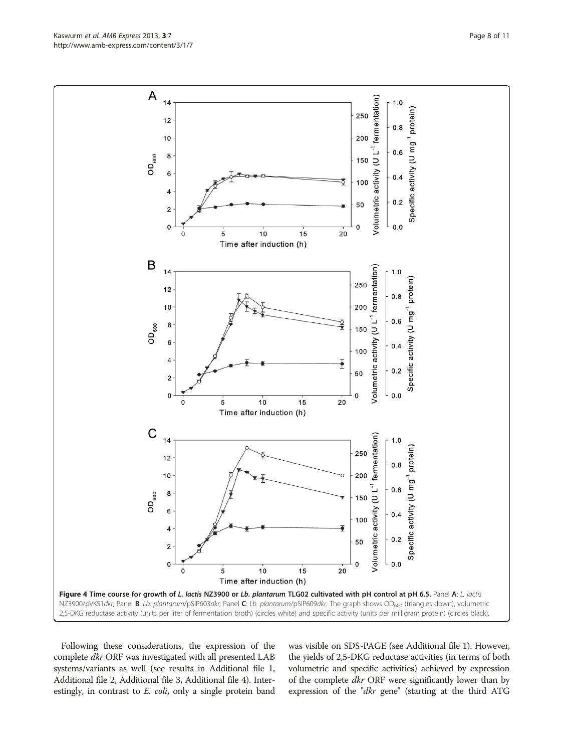Following these considerations, the expression of the complete dkr ORF was investigated with all presented LAB systems/variants as well (see results in Additional file [1](#page-9-0), Additional file [2](#page-9-0), Additional file [3](#page-9-0), Additional file [4\)](#page-9-0). Interestingly, in contrast to E. coli, only a single protein band

was visible on SDS-PAGE (see Additional file [1\)](#page-9-0). However, the yields of 2,5-DKG reductase activities (in terms of both volumetric and specific activities) achieved by expression of the complete dkr ORF were significantly lower than by expression of the "dkr gene" (starting at the third ATG

<span id="page-7-0"></span>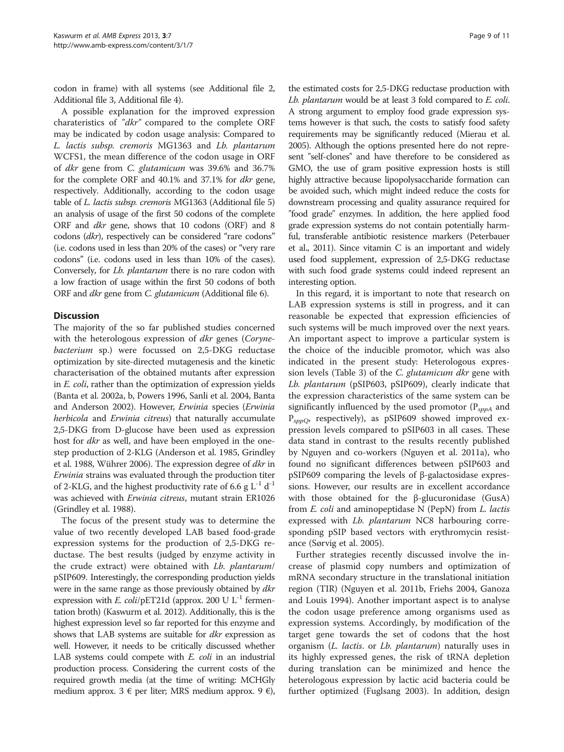codon in frame) with all systems (see Additional file [2](#page-9-0), Additional file [3](#page-9-0), Additional file [4](#page-9-0)).

A possible explanation for the improved expression charateristics of "dkr" compared to the complete ORF may be indicated by codon usage analysis: Compared to L. lactis subsp. cremoris MG1363 and Lb. plantarum WCFS1, the mean difference of the codon usage in ORF of dkr gene from C. glutamicum was 39.6% and 36.7% for the complete ORF and 40.1% and 37.1% for dkr gene, respectively. Additionally, according to the codon usage table of L. lactis subsp. cremoris MG1363 (Additional file [5](#page-9-0)) an analysis of usage of the first 50 codons of the complete ORF and dkr gene, shows that 10 codons (ORF) and 8 codons (dkr), respectively can be considered "rare codons" (i.e. codons used in less than 20% of the cases) or "very rare codons" (i.e. codons used in less than 10% of the cases). Conversely, for Lb. plantarum there is no rare codon with a low fraction of usage within the first 50 codons of both ORF and *dkr* gene from *C. glutamicum* (Additional file [6](#page-9-0)).

## **Discussion**

The majority of the so far published studies concerned with the heterologous expression of *dkr* genes (Corynebacterium sp.) were focussed on 2,5-DKG reductase optimization by site-directed mutagenesis and the kinetic characterisation of the obtained mutants after expression in E. coli, rather than the optimization of expression yields (Banta et al. [2002a](#page-9-0), [b](#page-9-0), Powers [1996](#page-10-0), Sanli et al. [2004,](#page-10-0) Banta and Anderson [2002](#page-9-0)). However, Erwinia species (Erwinia herbicola and Erwinia citreus) that naturally accumulate 2,5-DKG from D-glucose have been used as expression host for dkr as well, and have been employed in the onestep production of 2-KLG (Anderson et al. [1985,](#page-9-0) Grindley et al. [1988,](#page-10-0) Wührer [2006](#page-10-0)). The expression degree of dkr in Erwinia strains was evaluated through the production titer of 2-KLG, and the highest productivity rate of 6.6 g  $L^{-1}$  d<sup>-1</sup> was achieved with Erwinia citreus, mutant strain ER1026 (Grindley et al. [1988\)](#page-10-0).

The focus of the present study was to determine the value of two recently developed LAB based food-grade expression systems for the production of 2,5-DKG reductase. The best results (judged by enzyme activity in the crude extract) were obtained with Lb. plantarum/ pSIP609. Interestingly, the corresponding production yields were in the same range as those previously obtained by  $dkr$ expression with E. coli/pET21d (approx. 200 U  $L^{-1}$  fermentation broth) (Kaswurm et al. [2012](#page-10-0)). Additionally, this is the highest expression level so far reported for this enzyme and shows that LAB systems are suitable for *dkr* expression as well. However, it needs to be critically discussed whether LAB systems could compete with  $E$ .  $\text{coli}$  in an industrial production process. Considering the current costs of the required growth media (at the time of writing: MCHGly medium approx. 3  $\epsilon$  per liter; MRS medium approx. 9  $\epsilon$ ),

the estimated costs for 2,5-DKG reductase production with Lb. plantarum would be at least 3 fold compared to E. coli. A strong argument to employ food grade expression systems however is that such, the costs to satisfy food safety requirements may be significantly reduced (Mierau et al. [2005\)](#page-10-0). Although the options presented here do not represent "self-clones" and have therefore to be considered as GMO, the use of gram positive expression hosts is still highly attractive because lipopolysaccharide formation can be avoided such, which might indeed reduce the costs for downstream processing and quality assurance required for "food grade" enzymes. In addition, the here applied food grade expression systems do not contain potentially harmful, transferable antibiotic resistence markers (Peterbauer et al., [2011\)](#page-10-0). Since vitamin C is an important and widely used food supplement, expression of 2,5-DKG reductase with such food grade systems could indeed represent an interesting option.

In this regard, it is important to note that research on LAB expression systems is still in progress, and it can reasonable be expected that expression efficiencies of such systems will be much improved over the next years. An important aspect to improve a particular system is the choice of the inducible promotor, which was also indicated in the present study: Heterologous expres-sion levels (Table [3\)](#page-6-0) of the C. glutamicum dkr gene with Lb. plantarum (pSIP603, pSIP609), clearly indicate that the expression characteristics of the same system can be significantly influenced by the used promotor  $(P_{\text{sppA}})$  and  $P_{\text{supO}}$ , respectively), as pSIP609 showed improved expression levels compared to pSIP603 in all cases. These data stand in contrast to the results recently published by Nguyen and co-workers (Nguyen et al. [2011a\)](#page-10-0), who found no significant differences between pSIP603 and pSIP609 comparing the levels of β-galactosidase expressions. However, our results are in excellent accordance with those obtained for the β-glucuronidase (GusA) from E. coli and aminopeptidase N (PepN) from L. lactis expressed with Lb. plantarum NC8 harbouring corresponding pSIP based vectors with erythromycin resistance (Sørvig et al. [2005](#page-10-0)).

Further strategies recently discussed involve the increase of plasmid copy numbers and optimization of mRNA secondary structure in the translational initiation region (TIR) (Nguyen et al. [2011b,](#page-10-0) Friehs [2004,](#page-9-0) Ganoza and Louis [1994](#page-10-0)). Another important aspect is to analyse the codon usage preference among organisms used as expression systems. Accordingly, by modification of the target gene towards the set of codons that the host organism (L. lactis. or Lb. plantarum) naturally uses in its highly expressed genes, the risk of tRNA depletion during translation can be minimized and hence the heterologous expression by lactic acid bacteria could be further optimized (Fuglsang [2003\)](#page-9-0). In addition, design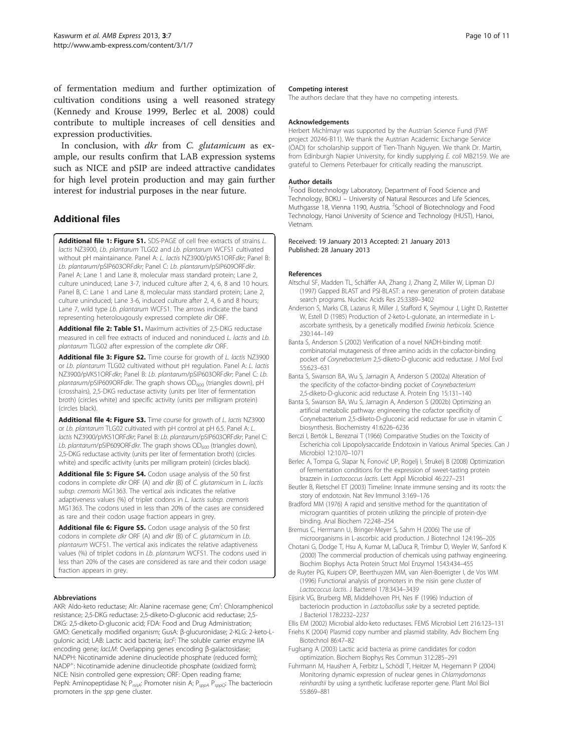<span id="page-9-0"></span>of fermentation medium and further optimization of cultivation conditions using a well reasoned strategy (Kennedy and Krouse [1999,](#page-10-0) Berlec et al. 2008) could contribute to multiple increases of cell densities and expression productivities.

In conclusion, with dkr from C. glutamicum as example, our results confirm that LAB expression systems such as NICE and pSIP are indeed attractive candidates for high level protein production and may gain further interest for industrial purposes in the near future.

# Additional files

[Additional file 1: Figure S1.](http://www.biomedcentral.com/content/supplementary/2191-0855-3-7-S1.pdf) SDS-PAGE of cell free extracts of strains L. lactis NZ3900, Lb. plantarum TLG02 and Lb. plantarum WCFS1 cultivated without pH maintainance. Panel A: L. lactis NZ3900/pVK51ORFdkr; Panel B: Lb. plantarum/pSIP603ORFdkr; Panel C: Lb. plantarum/pSIP609ORFdkr. Panel A: Lane 1 and Lane 8, molecular mass standard protein; Lane 2, culture uninduced; Lane 3-7, induced culture after 2, 4, 6, 8 and 10 hours. Panel B, C: Lane 1 and Lane 8, molecular mass standard protein; Lane 2, culture uninduced; Lane 3-6, induced culture after 2, 4, 6 and 8 hours; Lane 7, wild type Lb. plantarum WCFS1. The arrows indicate the band representing heterolougously expressed complete dkr ORF.

[Additional file 2: Table S1.](http://www.biomedcentral.com/content/supplementary/2191-0855-3-7-S2.pdf) Maximum activities of 2.5-DKG reductase measured in cell free extracts of induced and noninduced L. lactis and Lb. plantarum TLG02 after expression of the complete dkr ORF.

[Additional file 3: Figure S2.](http://www.biomedcentral.com/content/supplementary/2191-0855-3-7-S3.pdf) Time course for growth of L. lactis NZ3900 or Lb. plantarum TLG02 cultivated without pH regulation. Panel A: L. lactis NZ3900/pVK51ORFdkr; Panel B: Lb. plantarum/pSIP603ORFdkr; Panel C: Lb. plantarum/pSIP609ORFdkr. The graph shows OD<sub>600</sub> (triangles down), pH (crosshairs), 2,5-DKG reductase activity (units per liter of fermentation broth) (circles white) and specific activity (units per milligram protein) (circles black).

[Additional file 4: Figure S3.](http://www.biomedcentral.com/content/supplementary/2191-0855-3-7-S4.pdf) Time course for growth of L. lactis NZ3900 or Lb. plantarum TLG02 cultivated with pH control at pH 6.5. Panel A: L. lactis NZ3900/pVK51ORFdkr; Panel B: Lb. plantarum/pSIP603ORFdkr; Panel C: Lb. plantarum/pSIP609ORFdkr. The graph shows OD<sub>600</sub> (triangles down), 2,5-DKG reductase activity (units per liter of fermentation broth) (circles white) and specific activity (units per milligram protein) (circles black).

[Additional file 5: Figure S4.](http://www.biomedcentral.com/content/supplementary/2191-0855-3-7-S5.pdf) Codon usage analysis of the 50 first codons in complete dkr ORF (A) and dkr (B) of C. glutamicum in L. lactis subsp. cremoris MG1363. The vertical axis indicates the relative adaptiveness values (%) of triplet codons in L. lactis subsp. cremoris MG1363. The codons used in less than 20% of the cases are considered as rare and their codon usage fraction appears in grey.

[Additional file 6: Figure S5.](http://www.biomedcentral.com/content/supplementary/2191-0855-3-7-S6.pdf) Codon usage analysis of the 50 first codons in complete dkr ORF (A) and dkr (B) of C. glutamicum in Lb. plantarum WCFS1. The vertical axis indicates the relative adaptiveness values (%) of triplet codons in Lb. plantarum WCFS1. The codons used in less than 20% of the cases are considered as rare and their codon usage fraction appears in grey.

#### Abbreviations

AKR: Aldo-keto reductase; Alr: Alanine racemase gene; Cm<sup>r</sup>: Chloramphenicol resistance; 2,5-DKG reductase: 2,5-diketo-D-gluconic acid reductase; 2,5- DKG: 2,5-diketo-D-gluconic acid; FDA: Food and Drug Administration; GMO: Genetically modified organism; GusA: β-glucuronidase; 2-KLG: 2-keto-Lgulonic acid; LAB: Lactic acid bacteria; lacF: The soluble carrier enzyme IIA encoding gene; lacLM: Overlapping genes encoding β-galactosidase; NADPH: Nicotinamide adenine dinucleotide phosphate (reduced form); NADP<sup>+</sup>: Nicotinamide adenine dinucleotide phosphate (oxidized form); NICE: Nisin controlled gene expression; ORF: Open reading frame; PepN: Aminopeptidase N;  $P_{nisa}$ : Promoter nisin A;  $P_{sppA}$   $P_{sppQ}$ : The bacteriocin promoters in the spp gene cluster.

#### Competing interest

The authors declare that they have no competing interests.

#### Acknowledgements

Herbert Michlmayr was supported by the Austrian Science Fund (FWF project 20246-B11). We thank the Austrian Academic Exchange Service (ÖAD) for scholarship support of Tien-Thanh Nguyen. We thank Dr. Martin, from Edinburgh Napier University, for kindly supplying E. coli MB2159. We are grateful to Clemens Peterbauer for critically reading the manuscript.

#### Author details

1 Food Biotechnology Laboratory, Department of Food Science and Technology, BOKU – University of Natural Resources and Life Sciences, Muthgasse 18, Vienna 1190, Austria. <sup>2</sup>School of Biotechnology and Food Technology, Hanoi University of Science and Technology (HUST), Hanoi, Vietnam.

#### Received: 19 January 2013 Accepted: 21 January 2013 Published: 28 January 2013

#### References

- Altschul SF, Madden TL, Schäffer AA, Zhang J, Zhang Z, Miller W, Lipman DJ (1997) Gapped BLAST and PSI-BLAST: a new generation of protein database search programs. Nucleic Acids Res 25:3389–3402
- Anderson S, Marks CB, Lazarus R, Miller J, Stafford K, Seymour J, Light D, Rastetter W, Estell D (1985) Production of 2-keto-L-gulonate, an intermediate in Lascorbate synthesis, by a genetically modified Erwinia herbicola. Science 230:144–149
- Banta S, Anderson S (2002) Verification of a novel NADH-binding motif: combinatorial mutagenesis of three amino acids in the cofactor-binding pocket of Corynebacterium 2,5-diketo-D-gluconic acid reductase. J Mol Evol 55:623–631
- Banta S, Swanson BA, Wu S, Jarnagin A, Anderson S (2002a) Alteration of the specificity of the cofactor-binding pocket of Corynebacterium 2,5-diketo-D-gluconic acid reductase A. Protein Eng 15:131–140
- Banta S, Swanson BA, Wu S, Jarnagin A, Anderson S (2002b) Optimizing an artificial metabolic pathway: engineering the cofactor specificity of Corynebacterium 2,5-diketo-D-gluconic acid reductase for use in vitamin C biosynthesis. Biochemistry 41:6226–6236
- Berczi I, Bertók L, Bereznai T (1966) Comparative Studies on the Toxicity of Escherichia coli Lipopolysaccaride Endotoxin in Various Animal Species. Can J Microbiol 12:1070–1071
- Berlec A, Tompa G, Slapar N, Fonović UP, Rogelj I, Štrukelj B (2008) Optimization of fermentation conditions for the expression of sweet-tasting protein brazzein in Lactococcus lactis. Lett Appl Microbiol 46:227–231
- Beutler B, Rietschel ET (2003) Timeline: Innate immune sensing and its roots: the story of endotoxin. Nat Rev Immunol 3:169–176
- Bradford MM (1976) A rapid and sensitive method for the quantitation of microgram quantities of protein utilizing the principle of protein-dye binding. Anal Biochem 72:248–254
- Bremus C, Herrmann U, Bringer-Meyer S, Sahm H (2006) The use of microorganisms in L-ascorbic acid production. J Biotechnol 124:196–205
- Chotani G, Dodge T, Hsu A, Kumar M, LaDuca R, Trimbur D, Weyler W, Sanford K (2000) The commercial production of chemicals using pathway engineering. Biochim Biophys Acta Protein Struct Mol Enzymol 1543:434–455
- de Ruyter PG, Kuipers OP, Beerthuyzen MM, van Alen-Boerrigter I, de Vos WM (1996) Functional analysis of promoters in the nisin gene cluster of Lactococcus lactis. J Bacteriol 178:3434–3439
- Eijsink VG, Brurberg MB, Middelhoven PH, Nes IF (1996) Induction of bacteriocin production in Lactobacillus sake by a secreted peptide. J Bacteriol 178:2232–2237
- Ellis EM (2002) Microbial aldo-keto reductases. FEMS Microbiol Lett 216:123–131 Friehs K (2004) Plasmid copy number and plasmid stability. Adv Biochem Eng
- Biotechnol 86:47–82 Fuglsang A (2003) Lactic acid bacteria as prime candidates for codon optimization. Biochem Biophys Res Commun 312:285–291
- Fuhrmann M, Hausherr A, Ferbitz L, Schödl T, Heitzer M, Hegemann P (2004) Monitoring dynamic expression of nuclear genes in Chlamydomonas reinhardtii by using a synthetic luciferase reporter gene. Plant Mol Biol 55:869–881